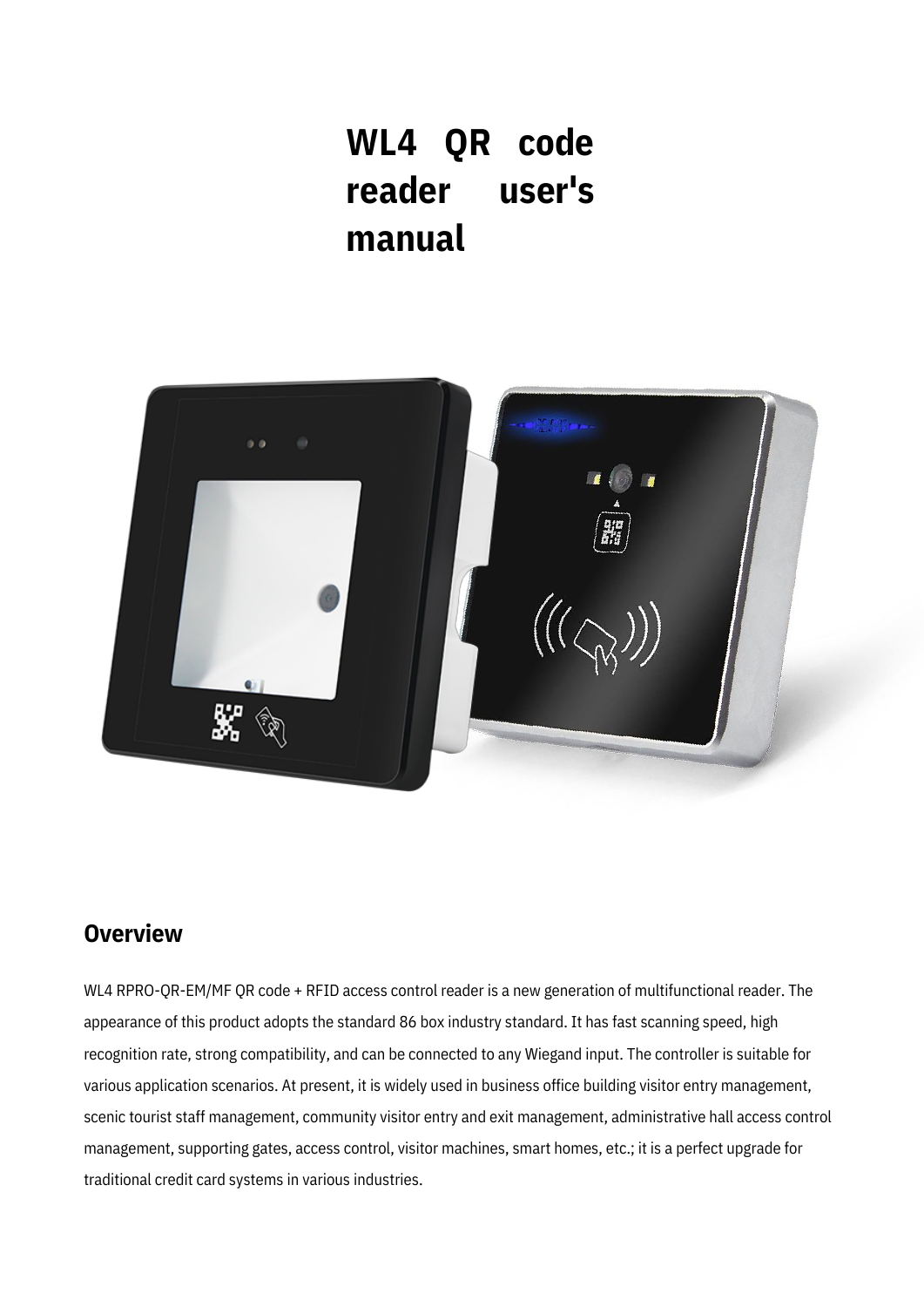# **WL4 QR code reader user's manual**



#### **Overview**

WL4 RPRO-QR-EM/MF QR code + RFID access control reader is a new generation of multifunctional reader. The appearance of this product adopts the standard 86 box industry standard. It has fast scanning speed, high recognition rate, strong compatibility, and can be connected to any Wiegand input. The controller is suitable for various application scenarios. At present, it is widely used in business office building visitor entry management, scenic tourist staff management, community visitor entry and exit management, administrative hall access control management, supporting gates, access control, visitor machines, smart homes, etc.; it is a perfect upgrade for traditional credit card systems in various industries.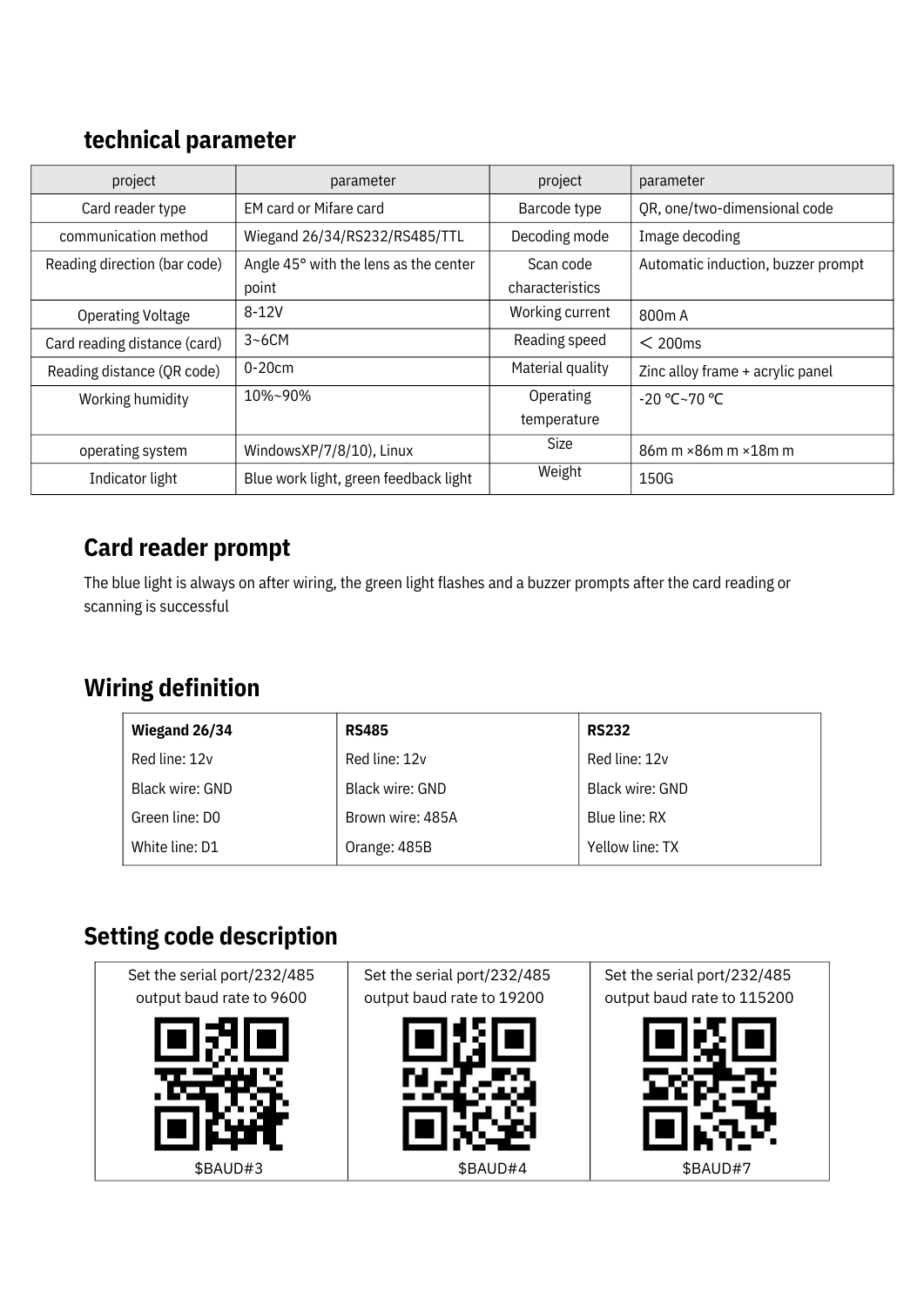## **technical parameter**

| project                      | parameter                                      | project          | parameter                          |  |
|------------------------------|------------------------------------------------|------------------|------------------------------------|--|
| Card reader type             | EM card or Mifare card                         | Barcode type     | QR, one/two-dimensional code       |  |
| communication method         | Wiegand 26/34/RS232/RS485/TTL<br>Decoding mode |                  | Image decoding                     |  |
| Reading direction (bar code) | Angle 45° with the lens as the center          | Scan code        | Automatic induction, buzzer prompt |  |
|                              | point                                          | characteristics  |                                    |  |
| <b>Operating Voltage</b>     | $8 - 12V$                                      | Working current  | 800 <sub>m</sub> A                 |  |
| Card reading distance (card) | $3 - 6$ CM                                     | Reading speed    | $<$ 200 $\mathrm{ms}$              |  |
| Reading distance (QR code)   | $0-20cm$                                       | Material quality | Zinc alloy frame + acrylic panel   |  |
| Working humidity             | 10%~90%                                        | Operating        | $-20$ °C~70 °C                     |  |
|                              |                                                | temperature      |                                    |  |
| operating system             | WindowsXP/7/8/10), Linux                       | Size             | 86m m × 86m m × 18m m              |  |
| Indicator light              | Blue work light, green feedback light          | Weight           | 150G                               |  |

### **Card reader prompt**

The blue light is always on after wiring, the green light flashes and a buzzer prompts after the card reading or scanning is successful

## **Wiring definition**

| Wiegand 26/34   | <b>RS485</b>     | <b>RS232</b>    |  |
|-----------------|------------------|-----------------|--|
| Red line: 12v   | Red line: 12v    | Red line: 12v   |  |
| Black wire: GND | Black wire: GND  | Black wire: GND |  |
| Green line: DO  | Brown wire: 485A | Blue line: RX   |  |
| White line: D1  | Orange: 485B     | Yellow line: TX |  |

## **Setting code description**

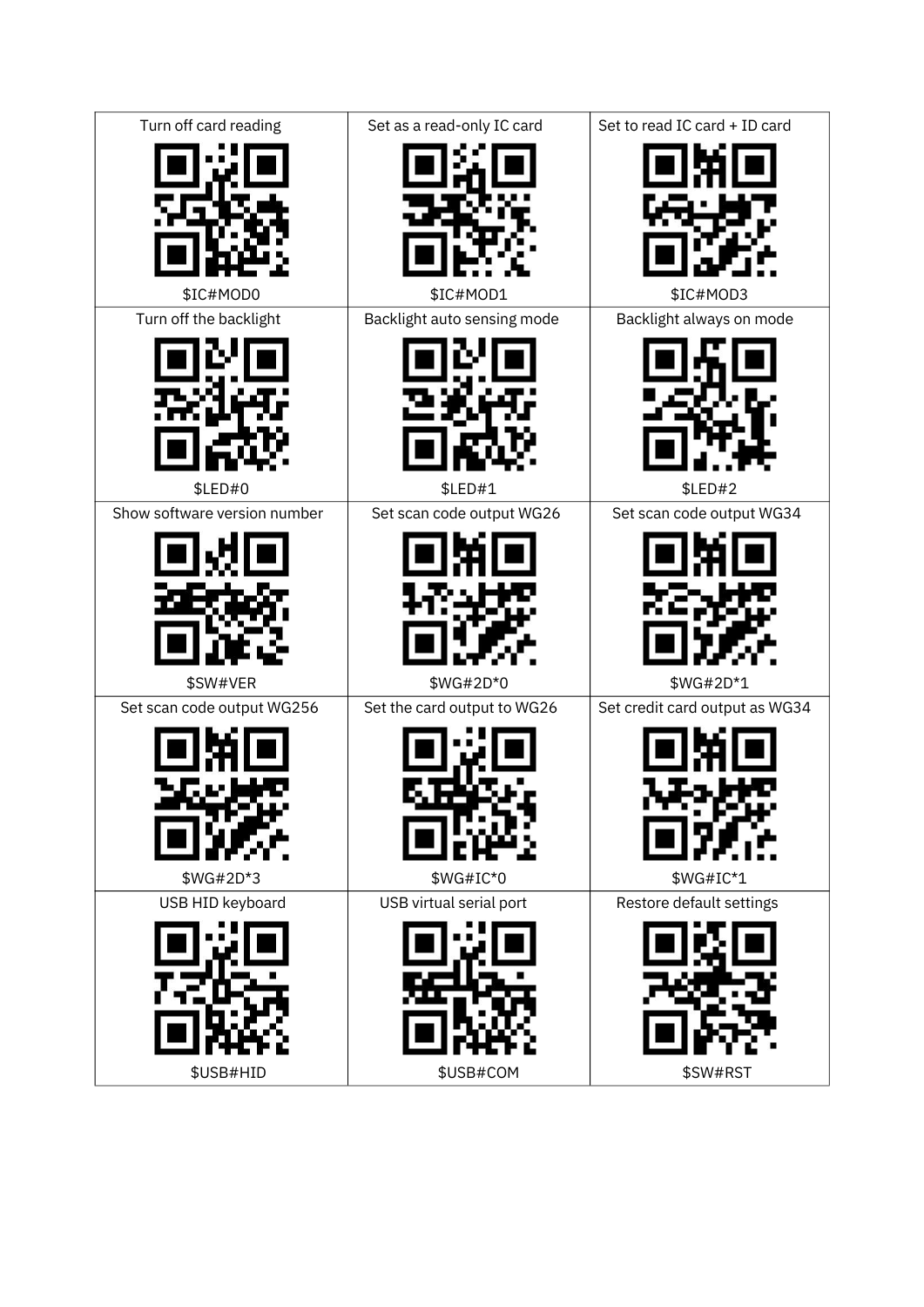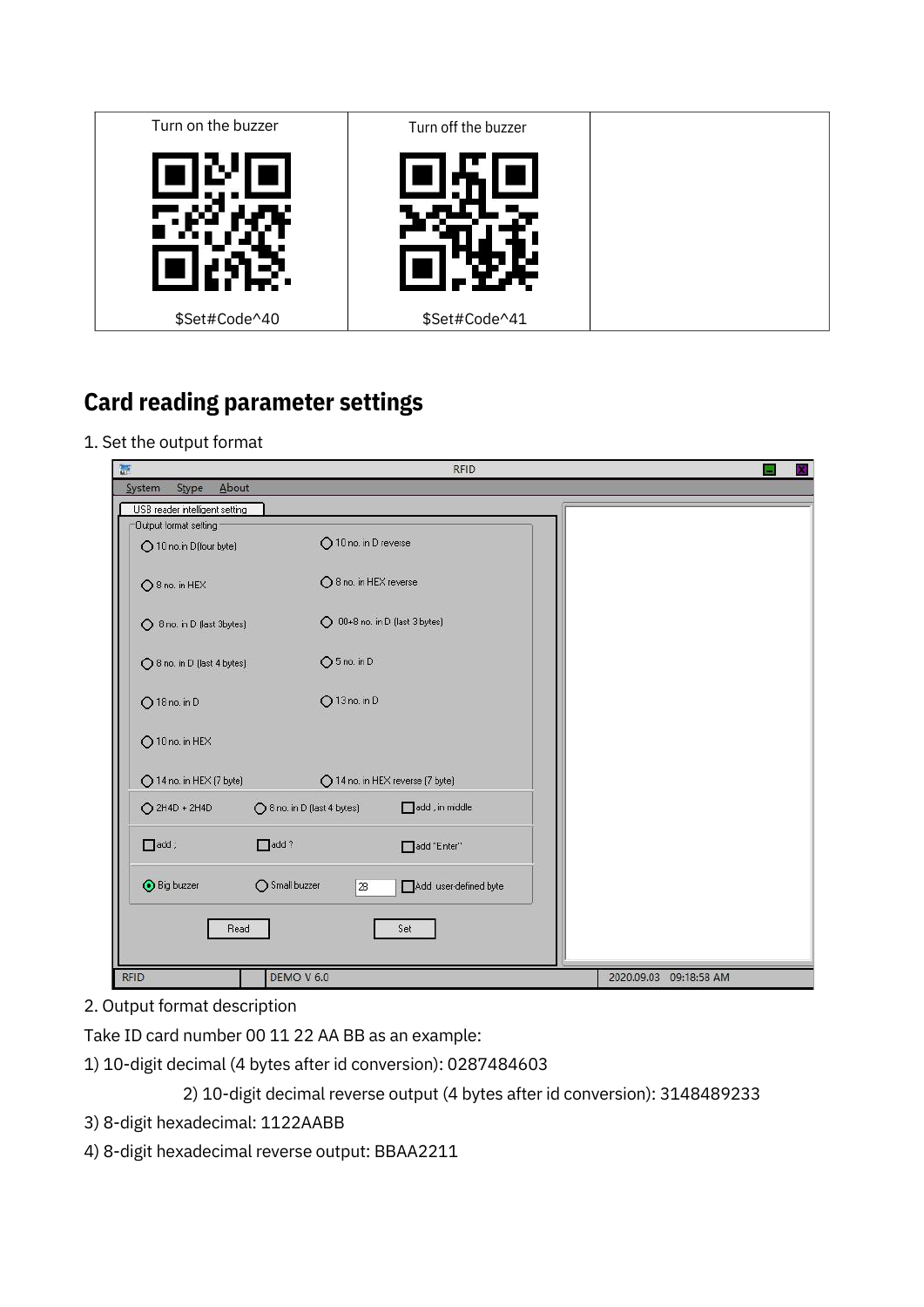

## **Card reading parameter settings**

1. Set the output format

| 瑟<br><b>RFID</b><br>G                          |                                |                                |  |                        |  |
|------------------------------------------------|--------------------------------|--------------------------------|--|------------------------|--|
| About<br>System<br>Stype                       |                                |                                |  |                        |  |
| USB reader intelligent setting                 |                                |                                |  |                        |  |
| Dutput format setting<br>10 no.in D(four byte) | 10 no. in D reverse            |                                |  |                        |  |
| ○8 no. in HEX                                  |                                | ◯ 8 no. in HEX reverse         |  |                        |  |
| S no. in D (last 3bytes)                       | O 00+8 no. in D (last 3 bytes) |                                |  |                        |  |
| ◯ 8 no. in D (last 4 bytes)                    | $O5$ no. in D                  |                                |  |                        |  |
| $O$ 18 no. in D                                | $O$ 13 no. in D                |                                |  |                        |  |
| 10 no. in HEX                                  |                                |                                |  |                        |  |
| 14 no. in HEX (7 byte)                         |                                | 14 no. in HEX reverse (7 byte) |  |                        |  |
| $O$ 2H4D + 2H4D                                | ◯ 8 no. in D (last 4 bytes)    | add , in middle                |  |                        |  |
| $\Box$ add ;                                   | $\Box$ add?                    | add "Enter"                    |  |                        |  |
| <b>O</b> Big buzzer                            | ◯ Small buzzer<br>2B           | Add user-defined byte          |  |                        |  |
| Read                                           |                                | Set                            |  |                        |  |
| <b>RFID</b>                                    | <b>DEMO V 6.0</b>              |                                |  | 2020.09.03 09:18:58 AM |  |

2. Output format description

Take ID card number 00 11 22 AA BB as an example:

1) 10-digit decimal (4 bytes after id conversion): 0287484603

2) 10-digit decimal reverse output (4 bytes after id conversion): 3148489233

- 3) 8-digit hexadecimal: 1122AABB
- 4) 8-digit hexadecimal reverse output: BBAA2211